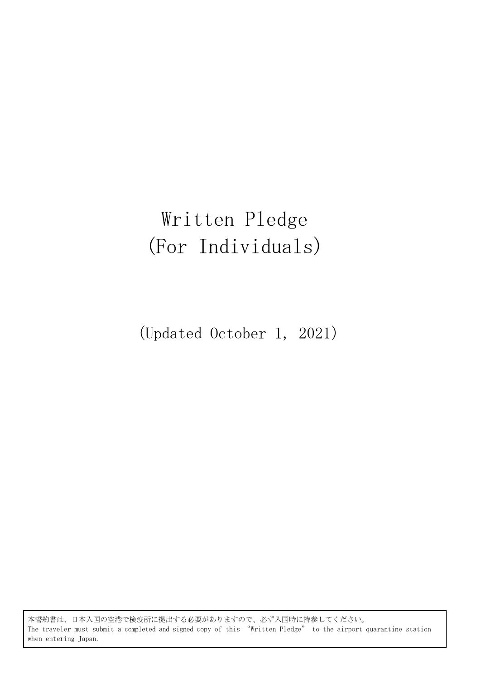# Written Pledge (For Individuals)

(Updated October 1, 2021)

本誓約書は、日本入国の空港で検疫所に提出する必要がありますので、必ず入国時に持参してください。 The traveler must submit a completed and signed copy of this "Written Pledge" to the airport quarantine station when entering Japan.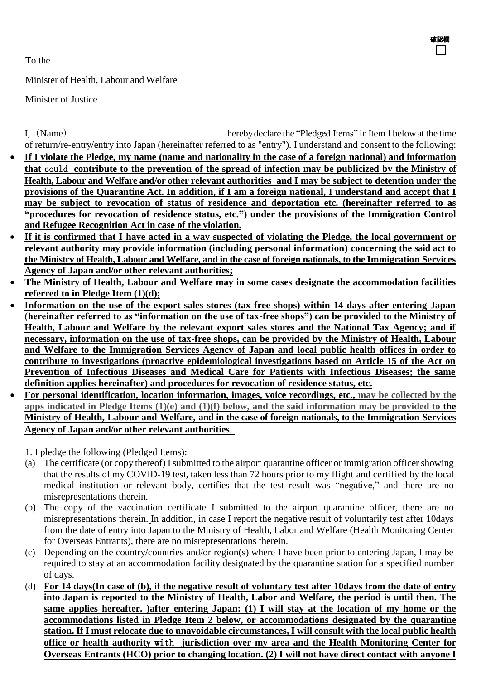To the

Minister of Health, Labour and Welfare

Minister of Justice

I,(Name) herebydeclare the "Pledged Items" in Item1belowat the time of return/re-entry/entry into Japan (hereinafter referred to as "entry"). I understand and consent to the following:

確認欄

- If I violate the Pledge, my name (name and nationality in the case of a foreign national) and information **that** could **contribute to the prevention of the spread of infection may be publicized by the Ministry of Health, Labour and Welfare and/or other relevant authorities and I may be subject to detention under the provisions of the Quarantine Act. In addition, if I am a foreign national, I understand and accept that I may be subject to revocation of status of residence and deportation etc. (hereinafter referred to as "procedures for revocation of residence status, etc.") under the provisions of the Immigration Control and Refugee Recognition Act in case of the violation.**
- **If it is confirmed that I have acted in a way suspected of violating the Pledge, the local government or relevant authority may provide information (including personal information) concerning the said act to the Ministry of Health, Labour and Welfare, and in the case of foreign nationals, to the Immigration Services Agency of Japan and/or other relevant authorities;**
- **The Ministry of Health, Labour and Welfare may in some cases designate the accommodation facilities referred to in Pledge Item (1)(d);**
- **Information on the use of the export sales stores (tax-free shops) within 14 days after entering Japan (hereinafter referred to as "information on the use of tax-free shops") can be provided to the Ministry of Health, Labour and Welfare by the relevant export sales stores and the National Tax Agency; and if necessary, information on the use of tax-free shops, can be provided by the Ministry of Health, Labour and Welfare to the Immigration Services Agency of Japan and local public health offices in order to contribute to investigations (proactive epidemiological investigations based on Article 15 of the Act on Prevention of Infectious Diseases and Medical Care for Patients with Infectious Diseases; the same definition applies hereinafter) and procedures for revocation of residence status, etc.**
- **For personal identification, location information, images, voice recordings, etc., may be collected by the apps indicated in Pledge Items (1)(e) and (1)(f) below, and the said information may be provided to the Ministry of Health, Labour and Welfare, and in the case of foreign nationals, to the Immigration Services Agency of Japan and/or other relevant authorities**.

1. I pledge the following (Pledged Items):

- (a) The certificate (or copy thereof) I submitted to the airport quarantine officer or immigration officer showing that the results of my COVID-19 test, taken less than 72 hours prior to my flight and certified by the local medical institution or relevant body, certifies that the test result was "negative," and there are no misrepresentations therein.
- (b) The copy of the vaccination certificate I submitted to the airport quarantine officer, there are no misrepresentations therein. In addition, in case I report the negative result of voluntarily test after 10days from the date of entry into Japan to the Ministry of Health, Labor and Welfare (Health Monitoring Center for Overseas Entrants), there are no misrepresentations therein.
- (c) Depending on the country/countries and/or region(s) where I have been prior to entering Japan, I may be required to stay at an accommodation facility designated by the quarantine station for a specified number of days.
- (d) **For 14 days(In case of (b), if the negative result of voluntary test after 10days from the date of entry into Japan is reported to the Ministry of Health, Labor and Welfare, the period is until then. The same applies hereafter. )after entering Japan: (1) I will stay at the location of my home or the accommodations listed in Pledge Item 2 below, or accommodations designated by the quarantine station. If I must relocate due to unavoidable circumstances, I will consult with the local public health office or health authority** with **jurisdiction over my area and the Health Monitoring Center for Overseas Entrants (HCO) prior to changing location. (2) I will not have direct contact with anyone I**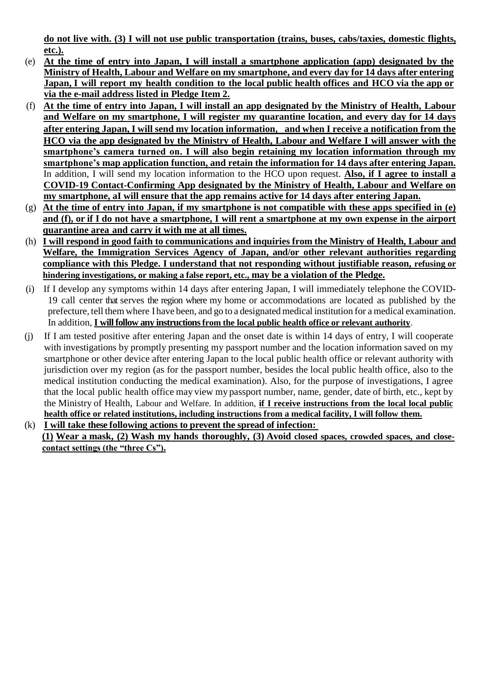**do not live with. (3) I will not use public transportation (trains, buses, cabs/taxies, domestic flights, etc.).**

- (e) **At the time of entry into Japan, I will install a smartphone application (app) designated by the Ministry of Health, Labour and Welfare on my smartphone, and every day for 14 days after entering Japan, I will report my health condition to the local public health offices and HCO via the app or via the e-mail address listed in Pledge Item 2.**
- (f) **At the time of entry into Japan, I will install an app designated by the Ministry of Health, Labour and Welfare on my smartphone, I will register my quarantine location, and every day for 14 days after entering Japan, I will send my location information**, **and when I receive a notification from the HCO via the app designated by the Ministry of Health, Labour and Welfare I will answer with the smartphone's camera turned on. I will also begin retaining my location information through my smartphone's map application function, and retain the information for 14 days after entering Japan.**  In addition, I will send my location information to the HCO upon request. **Also, if I agree to install a COVID-19 Contact-Confirming App designated by the Ministry of Health, Labour and Welfare on my smartphone, aI will ensure that the app remains active for 14 days after entering Japan.**
- (g) **At the time of entry into Japan, if my smartphone is not compatible with these apps specified in (e) and (f), or if I do not have a smartphone, I will rent a smartphone at my own expense in the airport quarantine area and carry it with me at all times.**
- (h) **I will respond in good faith to communications and inquiries from the Ministry of Health, Labour and Welfare, the Immigration Services Agency of Japan, and/or other relevant authorities regarding compliance with this Pledge. I understand that not responding without justifiable reason, refusing or hindering investigations, or making a false report, etc., may be a violation of the Pledge.**
- (i) If I develop any symptoms within 14 days after entering Japan, I will immediately telephone the COVID-19 call center that serves the region where my home or accommodations are located as published by the prefecture, tell them where I have been, and go to a designatedmedical institution for a medical examination. In addition, **I will follow any instructions from the local public health office or relevant authority**.
- (j) If I am tested positive after entering Japan and the onset date is within 14 days of entry, I will cooperate with investigations by promptly presenting my passport number and the location information saved on my smartphone or other device after entering Japan to the local public health office or relevant authority with jurisdiction over my region (as for the passport number, besides the local public health office, also to the medical institution conducting the medical examination). Also, for the purpose of investigations, I agree that the local public health office may view my passport number, name, gender, date of birth, etc., kept by the Ministry of Health, Labour and Welfare. In addition, **if I receive instructions from the local local public health office or related institutions, including instructions from a medical facility, I will follow them.**
- (k) **I will take these following actions to prevent the spread of infection: (1) Wear a mask, (2) Wash my hands thoroughly, (3) Avoid closed spaces, crowded spaces, and closecontact settings (the "three Cs").**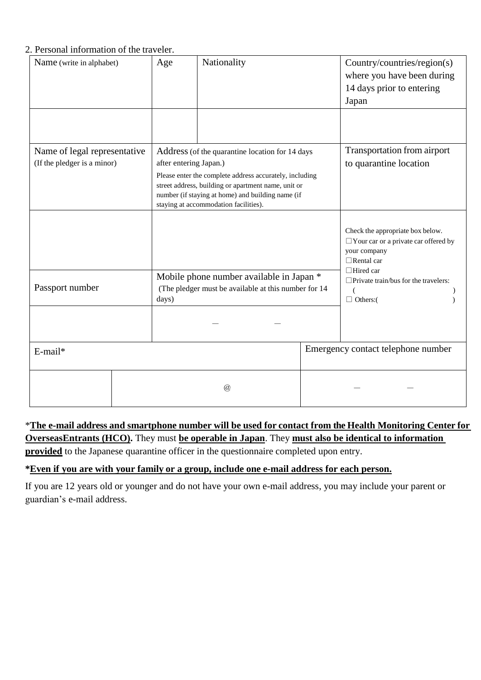#### 2. Personal information of the traveler.

| Name (write in alphabet)                                    |  | Age                                                                                                                                                                                                                                                                                       | Nationality          |  | Country/countries/region(s)<br>where you have been during<br>14 days prior to entering<br>Japan                                                                                                                 |
|-------------------------------------------------------------|--|-------------------------------------------------------------------------------------------------------------------------------------------------------------------------------------------------------------------------------------------------------------------------------------------|----------------------|--|-----------------------------------------------------------------------------------------------------------------------------------------------------------------------------------------------------------------|
| Name of legal representative<br>(If the pledger is a minor) |  | Address (of the quarantine location for 14 days<br>after entering Japan.)<br>Please enter the complete address accurately, including<br>street address, building or apartment name, unit or<br>number (if staying at home) and building name (if<br>staying at accommodation facilities). |                      |  | Transportation from airport<br>to quarantine location                                                                                                                                                           |
|                                                             |  |                                                                                                                                                                                                                                                                                           |                      |  | Check the appropriate box below.<br>$\Box$ Your car or a private car offered by<br>your company<br>$\Box$ Rental car<br>$\Box$ Hired car<br>$\Box$ Private train/bus for the travelers:<br>€<br>$\Box$ Others:( |
| Passport number                                             |  | Mobile phone number available in Japan *<br>(The pledger must be available at this number for 14<br>days)                                                                                                                                                                                 |                      |  |                                                                                                                                                                                                                 |
| E-mail*                                                     |  |                                                                                                                                                                                                                                                                                           |                      |  | Emergency contact telephone number                                                                                                                                                                              |
|                                                             |  |                                                                                                                                                                                                                                                                                           | $^{\textregistered}$ |  |                                                                                                                                                                                                                 |

\***The e-mail address and smartphone number will be used for contact from the Health Monitoring Center for OverseasEntrants (HCO).** They must **be operable in Japan**. They **must also be identical to information provided** to the Japanese quarantine officer in the questionnaire completed upon entry.

#### **\*Even if you are with your family or a group, include one e-mail address for each person.**

If you are 12 years old or younger and do not have your own e-mail address, you may include your parent or guardian's e-mail address.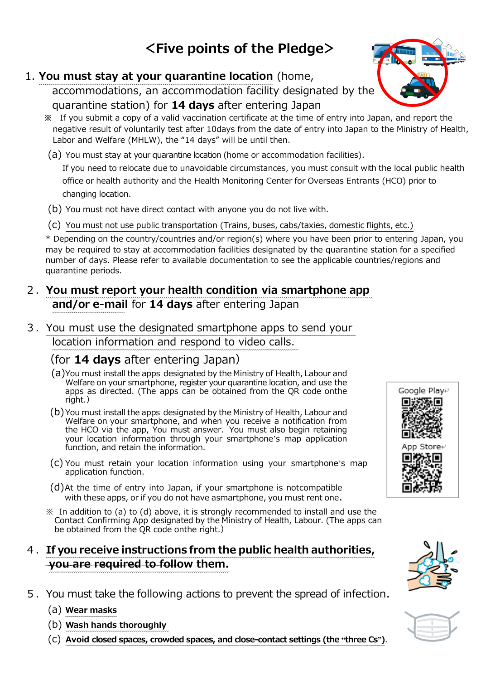# **<Five points of the Pledge>**

## 1. **You must stay at your quarantine location** (home,

accommodations, an accommodation facility designated by the quarantine station) for **14 days** after entering Japan

- **※** If you submit a copy of a valid vaccination certificate at the time of entry into Japan, and report the negative result of voluntarily test after 10days from the date of entry into Japan to the Ministry of Health, Labor and Welfare (MHLW), the "14 days" will be until then.
- (a) You must stay at your quarantine location (home or accommodation facilities).

If you need to relocate due to unavoidable circumstances, you must consult with the local public health office or health authority and the Health Monitoring Center for Overseas Entrants (HCO) prior to changing location.

- (b) You must not have direct contact with anyone you do not live with.
- (c) You must not use public transportation (Trains, buses, cabs/taxies, domestic flights, etc.)

\* Depending on the country/countries and/or region(s) where you have been prior to entering Japan, you may be required to stay at accommodation facilities designated by the quarantine station for a specified number of days. Please refer to available documentation to see the applicable countries/regions and quarantine periods.

### 2.**You must report your health condition via smartphone app and/or e-mail** for **14 days** after entering Japan

3.You must use the designated smartphone apps to send your location information and respond to video calls.

# (for **14 days** after entering Japan)

- (a)You must install the apps designated by the Ministry of Health, Labour and Welfare on your smartphone, register your quarantine location, and use the apps as directed. (The apps can be obtained from the QR code onthe right.)
- (b)You must install the apps designated by the Ministry of Health, Labour and Welfare on your smartphone, and when you receive a notification from the HCO via the app, You must answer. You must also begin retaining your location information through your smartphone's map application function, and retain the information.
- (c) You must retain your location information using your smartphone's map application function.
- (d)At the time of entry into Japan, if your smartphone is notcompatible with these apps, or if you do not have asmartphone, you must rent one.
- $\mathcal X$  In addition to (a) to (d) above, it is strongly recommended to install and use the Contact Confirming App designated by the Ministry of Health, Labour. (The apps can be obtained from the QR code onthe right.)

#### 4.**If you receive instructions from the public health authorities, you are required to follow them.**

5.You must take the following actions to prevent the spread of infection.

#### (a) **Wear masks**

- (b) **Wash hands thoroughly**
- (c) **Avoid closed spaces, crowded spaces, and close-contact settings (the "three Cs")**.